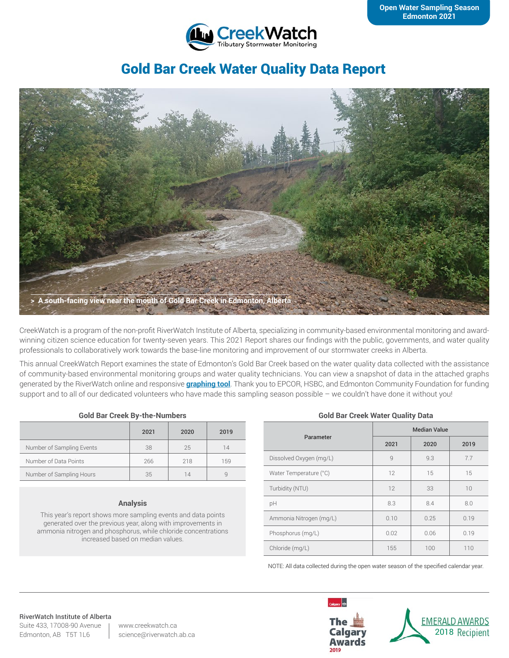

# Gold Bar Creek Water Quality Data Report



CreekWatch is a program of the non-profit RiverWatch Institute of Alberta, specializing in community-based environmental monitoring and awardwinning citizen science education for twenty-seven years. This 2021 Report shares our findings with the public, governments, and water quality professionals to collaboratively work towards the base-line monitoring and improvement of our stormwater creeks in Alberta.

This annual CreekWatch Report examines the state of Edmonton's Gold Bar Creek based on the water quality data collected with the assistance of community-based environmental monitoring groups and water quality technicians. You can view a snapshot of data in the attached graphs generated by the RiverWatch online and responsive **[graphing tool](http://www.riverwatch.ab.ca/index.php/science/data)**. Thank you to EPCOR, HSBC, and Edmonton Community Foundation for funding support and to all of our dedicated volunteers who have made this sampling season possible – we couldn't have done it without you!

#### **Gold Bar Creek By-the-Numbers**

|                           | 2021 | 2020 | 2019 |
|---------------------------|------|------|------|
| Number of Sampling Events | 38   | 25   | 14   |
| Number of Data Points     | 266  | 218  | 159  |
| Number of Sampling Hours  | 35   | 14   |      |

#### **Analysis**

This year's report shows more sampling events and data points generated over the previous year, along with improvements in ammonia nitrogen and phosphorus, while chloride concentrations increased based on median values.

#### **Gold Bar Creek Water Quality Data**

| Parameter               | <b>Median Value</b> |      |      |
|-------------------------|---------------------|------|------|
|                         | 2021                | 2020 | 2019 |
| Dissolved Oxygen (mg/L) | $\overline{9}$      | 9.3  | 7.7  |
| Water Temperature (°C)  | 12                  | 15   | 15   |
| Turbidity (NTU)         | 12                  | 33   | 10   |
| pH                      | 8.3                 | 8.4  | 8.0  |
| Ammonia Nitrogen (mg/L) | 0.10                | 0.25 | 0.19 |
| Phosphorus (mg/L)       | 0.02                | 0.06 | 0.19 |
| Chloride (mg/L)         | 155                 | 100  | 110  |

NOTE: All data collected during the open water season of the specified calendar year.

#### RiverWatch Institute of Alberta

Suite 433, 17008-90 Avenue Edmonton, AB T5T 1L6

www.creekwatch.ca science@riverwatch.ab.ca